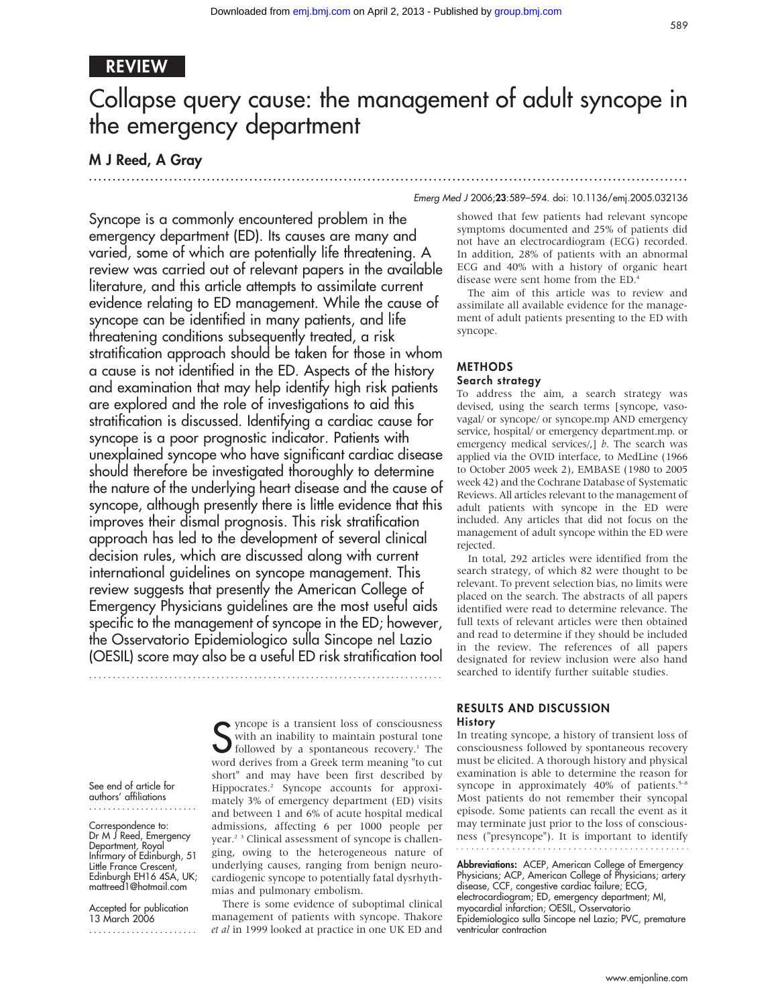## REVIEW

# Collapse query cause: the management of adult syncope in the emergency department

## M J Reed, A Gray

Syncope is a commonly encountered problem in the emergency department (ED). Its causes are many and varied, some of which are potentially life threatening. A review was carried out of relevant papers in the available literature, and this article attempts to assimilate current evidence relating to ED management. While the cause of syncope can be identified in many patients, and life threatening conditions subsequently treated, a risk stratification approach should be taken for those in whom a cause is not identified in the ED. Aspects of the history and examination that may help identify high risk patients are explored and the role of investigations to aid this stratification is discussed. Identifying a cardiac cause for syncope is a poor prognostic indicator. Patients with unexplained syncope who have significant cardiac disease should therefore be investigated thoroughly to determine the nature of the underlying heart disease and the cause of syncope, although presently there is little evidence that this improves their dismal prognosis. This risk stratification approach has led to the development of several clinical decision rules, which are discussed along with current international guidelines on syncope management. This review suggests that presently the American College of Emergency Physicians guidelines are the most useful aids specific to the management of syncope in the ED; however, the Osservatorio Epidemiologico sulla Sincope nel Lazio (OESIL) score may also be a useful ED risk stratification tool

...........................................................................

See end of article for authors' affiliations .......................

Correspondence to: Dr M J Reed, Emergency Department, Royal Infirmary of Edinburgh, 51 Little France Crescent, Edinburgh EH16 4SA, UK; mattreed1@hotmail.com

Accepted for publication 13 March 2006 .......................

S yncope is a transient loss of consciousness<br>with an inability to maintain postural tone<br>followed by a spontaneous recovery.<sup>1</sup> The with an inability to maintain postural tone followed by a spontaneous recovery.<sup>1</sup> The word derives from a Greek term meaning "to cut short" and may have been first described by Hippocrates.2 Syncope accounts for approximately 3% of emergency department (ED) visits and between 1 and 6% of acute hospital medical admissions, affecting 6 per 1000 people per year.2 3 Clinical assessment of syncope is challenging, owing to the heterogeneous nature of underlying causes, ranging from benign neurocardiogenic syncope to potentially fatal dysrhythmias and pulmonary embolism.

There is some evidence of suboptimal clinical management of patients with syncope. Thakore et al in 1999 looked at practice in one UK ED and

#### Emerg Med J 2006;23:589–594. doi: 10.1136/emj.2005.032136

.............................................................................................................................. .

showed that few patients had relevant syncope symptoms documented and 25% of patients did not have an electrocardiogram (ECG) recorded. In addition, 28% of patients with an abnormal ECG and 40% with a history of organic heart disease were sent home from the ED.4

The aim of this article was to review and assimilate all available evidence for the management of adult patients presenting to the ED with syncope.

## METHODS Search strategy

To address the aim, a search strategy was devised, using the search terms [syncope, vasovagal/ or syncope/ or syncope.mp AND emergency service, hospital/ or emergency department.mp. or emergency medical services/ $,$ ] b. The search was applied via the OVID interface, to MedLine (1966 to October 2005 week 2), EMBASE (1980 to 2005 week 42) and the Cochrane Database of Systematic Reviews. All articles relevant to the management of adult patients with syncope in the ED were included. Any articles that did not focus on the management of adult syncope within the ED were rejected.

In total, 292 articles were identified from the search strategy, of which 82 were thought to be relevant. To prevent selection bias, no limits were placed on the search. The abstracts of all papers identified were read to determine relevance. The full texts of relevant articles were then obtained and read to determine if they should be included in the review. The references of all papers designated for review inclusion were also hand searched to identify further suitable studies.

## RESULTS AND DISCUSSION History

In treating syncope, a history of transient loss of consciousness followed by spontaneous recovery must be elicited. A thorough history and physical examination is able to determine the reason for syncope in approximately  $40\%$  of patients.<sup>5-8</sup> Most patients do not remember their syncopal episode. Some patients can recall the event as it may terminate just prior to the loss of consciousness ("presyncope"). It is important to identify

Abbreviations: ACEP, American College of Emergency Physicians; ACP, American College of Physicians; artery disease, CCF, congestive cardiac failure; ECG, electrocardiogram; ED, emergency department; MI, myocardial infarction; OESIL, Osservatorio Epidemiologico sulla Sincope nel Lazio; PVC, premature ventricular contraction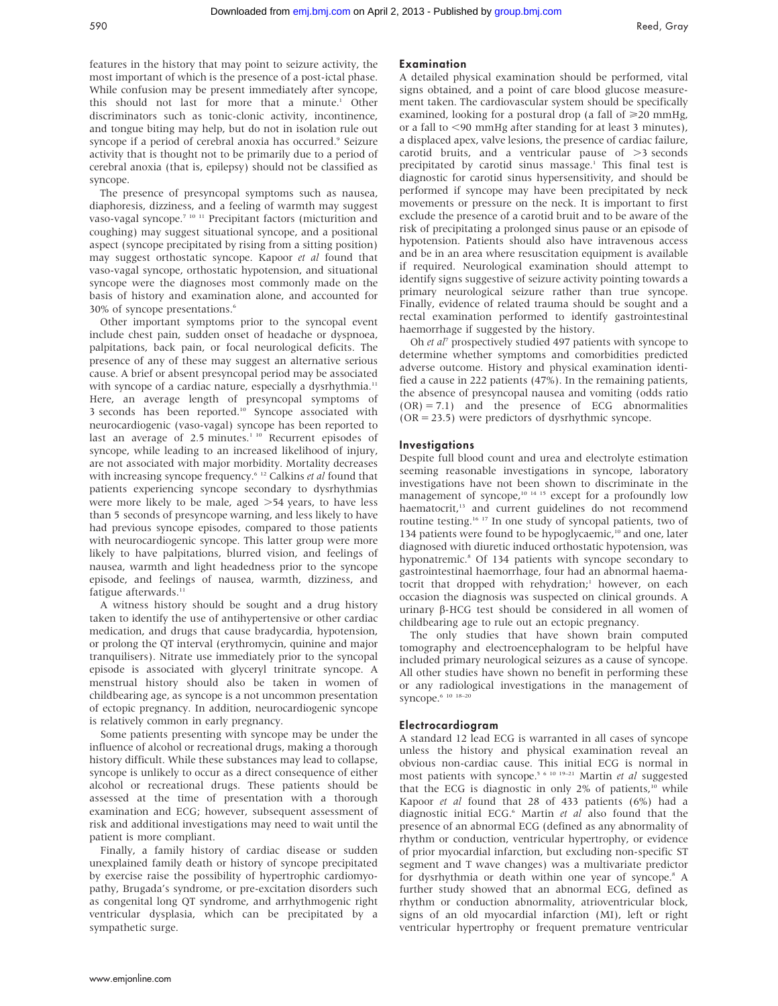features in the history that may point to seizure activity, the most important of which is the presence of a post-ictal phase. While confusion may be present immediately after syncope, this should not last for more that a minute.<sup>1</sup> Other discriminators such as tonic-clonic activity, incontinence, and tongue biting may help, but do not in isolation rule out syncope if a period of cerebral anoxia has occurred.<sup>9</sup> Seizure activity that is thought not to be primarily due to a period of cerebral anoxia (that is, epilepsy) should not be classified as syncope.

The presence of presyncopal symptoms such as nausea, diaphoresis, dizziness, and a feeling of warmth may suggest vaso-vagal syncope.7 10 11 Precipitant factors (micturition and coughing) may suggest situational syncope, and a positional aspect (syncope precipitated by rising from a sitting position) may suggest orthostatic syncope. Kapoor et al found that vaso-vagal syncope, orthostatic hypotension, and situational syncope were the diagnoses most commonly made on the basis of history and examination alone, and accounted for 30% of syncope presentations.<sup>6</sup>

Other important symptoms prior to the syncopal event include chest pain, sudden onset of headache or dyspnoea, palpitations, back pain, or focal neurological deficits. The presence of any of these may suggest an alternative serious cause. A brief or absent presyncopal period may be associated with syncope of a cardiac nature, especially a dysrhythmia.<sup>11</sup> Here, an average length of presyncopal symptoms of 3 seconds has been reported.10 Syncope associated with neurocardiogenic (vaso-vagal) syncope has been reported to last an average of  $2.5$  minutes.<sup>110</sup> Recurrent episodes of syncope, while leading to an increased likelihood of injury, are not associated with major morbidity. Mortality decreases with increasing syncope frequency.<sup>6 12</sup> Calkins et al found that patients experiencing syncope secondary to dysrhythmias were more likely to be male, aged  $>54$  years, to have less than 5 seconds of presyncope warning, and less likely to have had previous syncope episodes, compared to those patients with neurocardiogenic syncope. This latter group were more likely to have palpitations, blurred vision, and feelings of nausea, warmth and light headedness prior to the syncope episode, and feelings of nausea, warmth, dizziness, and fatigue afterwards.<sup>11</sup>

A witness history should be sought and a drug history taken to identify the use of antihypertensive or other cardiac medication, and drugs that cause bradycardia, hypotension, or prolong the QT interval (erythromycin, quinine and major tranquilisers). Nitrate use immediately prior to the syncopal episode is associated with glyceryl trinitrate syncope. A menstrual history should also be taken in women of childbearing age, as syncope is a not uncommon presentation of ectopic pregnancy. In addition, neurocardiogenic syncope is relatively common in early pregnancy.

Some patients presenting with syncope may be under the influence of alcohol or recreational drugs, making a thorough history difficult. While these substances may lead to collapse, syncope is unlikely to occur as a direct consequence of either alcohol or recreational drugs. These patients should be assessed at the time of presentation with a thorough examination and ECG; however, subsequent assessment of risk and additional investigations may need to wait until the patient is more compliant.

Finally, a family history of cardiac disease or sudden unexplained family death or history of syncope precipitated by exercise raise the possibility of hypertrophic cardiomyopathy, Brugada's syndrome, or pre-excitation disorders such as congenital long QT syndrome, and arrhythmogenic right ventricular dysplasia, which can be precipitated by a sympathetic surge.

## Examination

A detailed physical examination should be performed, vital signs obtained, and a point of care blood glucose measurement taken. The cardiovascular system should be specifically examined, looking for a postural drop (a fall of  $\geq 20$  mmHg, or a fall to  $\leq$ 90 mmHg after standing for at least 3 minutes), a displaced apex, valve lesions, the presence of cardiac failure, carotid bruits, and a ventricular pause of  $>3$  seconds precipitated by carotid sinus massage.<sup>1</sup> This final test is diagnostic for carotid sinus hypersensitivity, and should be performed if syncope may have been precipitated by neck movements or pressure on the neck. It is important to first exclude the presence of a carotid bruit and to be aware of the risk of precipitating a prolonged sinus pause or an episode of hypotension. Patients should also have intravenous access and be in an area where resuscitation equipment is available if required. Neurological examination should attempt to identify signs suggestive of seizure activity pointing towards a primary neurological seizure rather than true syncope. Finally, evidence of related trauma should be sought and a rectal examination performed to identify gastrointestinal haemorrhage if suggested by the history.

Oh et al<sup>7</sup> prospectively studied 497 patients with syncope to determine whether symptoms and comorbidities predicted adverse outcome. History and physical examination identified a cause in 222 patients (47%). In the remaining patients, the absence of presyncopal nausea and vomiting (odds ratio  $(OR) = 7.1$  and the presence of ECG abnormalities (OR = 23.5) were predictors of dysrhythmic syncope.

#### **Investigations**

Despite full blood count and urea and electrolyte estimation seeming reasonable investigations in syncope, laboratory investigations have not been shown to discriminate in the management of syncope,<sup>10 14 15</sup> except for a profoundly low haematocrit,<sup>13</sup> and current guidelines do not recommend routine testing.16 17 In one study of syncopal patients, two of 134 patients were found to be hypoglycaemic,<sup>10</sup> and one, later diagnosed with diuretic induced orthostatic hypotension, was hyponatremic.<sup>8</sup> Of 134 patients with syncope secondary to gastrointestinal haemorrhage, four had an abnormal haematocrit that dropped with rehydration;<sup>1</sup> however, on each occasion the diagnosis was suspected on clinical grounds. A urinary  $\beta$ -HCG test should be considered in all women of childbearing age to rule out an ectopic pregnancy.

The only studies that have shown brain computed tomography and electroencephalogram to be helpful have included primary neurological seizures as a cause of syncope. All other studies have shown no benefit in performing these or any radiological investigations in the management of syncope.<sup>6</sup> 10 18-20

#### Electrocardiogram

A standard 12 lead ECG is warranted in all cases of syncope unless the history and physical examination reveal an obvious non-cardiac cause. This initial ECG is normal in most patients with syncope.<sup>5 6 10 19-21</sup> Martin et al suggested that the ECG is diagnostic in only 2% of patients,<sup>10</sup> while Kapoor et al found that 28 of 433 patients (6%) had a diagnostic initial ECG.<sup>6</sup> Martin et al also found that the presence of an abnormal ECG (defined as any abnormality of rhythm or conduction, ventricular hypertrophy, or evidence of prior myocardial infarction, but excluding non-specific ST segment and T wave changes) was a multivariate predictor for dysrhythmia or death within one year of syncope.<sup>8</sup> A further study showed that an abnormal ECG, defined as rhythm or conduction abnormality, atrioventricular block, signs of an old myocardial infarction (MI), left or right ventricular hypertrophy or frequent premature ventricular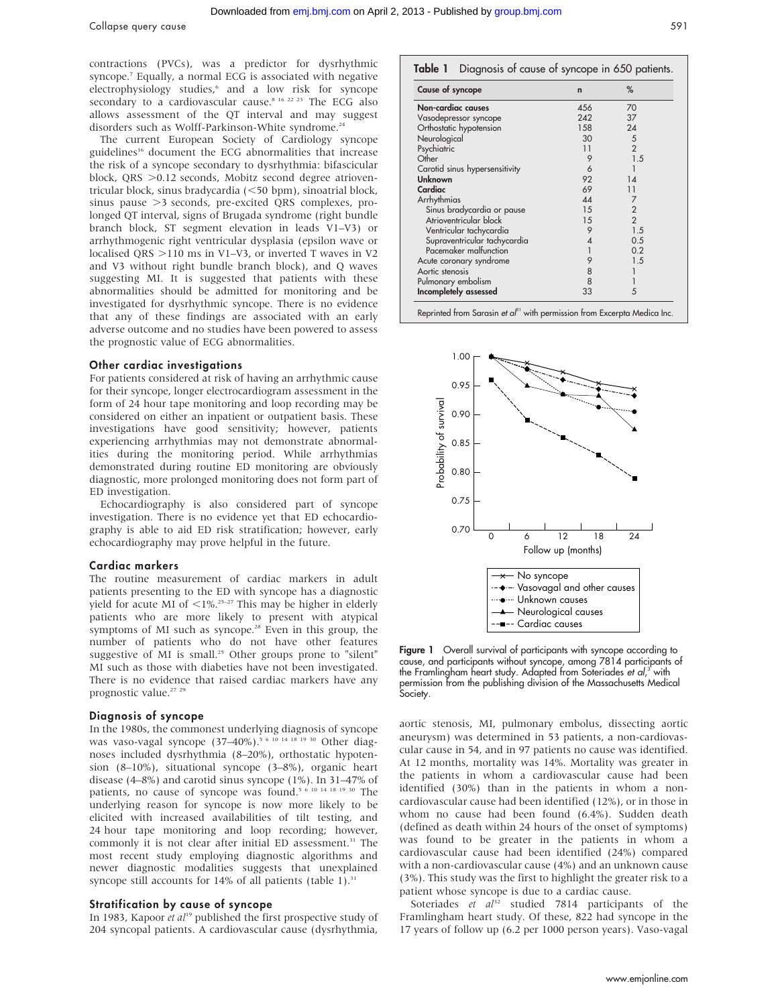contractions (PVCs), was a predictor for dysrhythmic syncope.7 Equally, a normal ECG is associated with negative electrophysiology studies,<sup>6</sup> and a low risk for syncope secondary to a cardiovascular cause.<sup>8 16 22 23</sup> The ECG also allows assessment of the QT interval and may suggest disorders such as Wolff-Parkinson-White syndrome.<sup>24</sup>

The current European Society of Cardiology syncope guidelines<sup>16</sup> document the ECG abnormalities that increase the risk of a syncope secondary to dysrhythmia: bifascicular block, QRS  $>0.12$  seconds, Mobitz second degree atrioventricular block, sinus bradycardia  $(<$ 50 bpm), sinoatrial block, sinus pause >3 seconds, pre-excited QRS complexes, prolonged QT interval, signs of Brugada syndrome (right bundle branch block, ST segment elevation in leads V1–V3) or arrhythmogenic right ventricular dysplasia (epsilon wave or localised QRS  $>$ 110 ms in V1–V3, or inverted T waves in V2 and V3 without right bundle branch block), and Q waves suggesting MI. It is suggested that patients with these abnormalities should be admitted for monitoring and be investigated for dysrhythmic syncope. There is no evidence that any of these findings are associated with an early adverse outcome and no studies have been powered to assess the prognostic value of ECG abnormalities.

#### Other cardiac investigations

For patients considered at risk of having an arrhythmic cause for their syncope, longer electrocardiogram assessment in the form of 24 hour tape monitoring and loop recording may be considered on either an inpatient or outpatient basis. These investigations have good sensitivity; however, patients experiencing arrhythmias may not demonstrate abnormalities during the monitoring period. While arrhythmias demonstrated during routine ED monitoring are obviously diagnostic, more prolonged monitoring does not form part of ED investigation.

Echocardiography is also considered part of syncope investigation. There is no evidence yet that ED echocardiography is able to aid ED risk stratification; however, early echocardiography may prove helpful in the future.

#### Cardiac markers

The routine measurement of cardiac markers in adult patients presenting to the ED with syncope has a diagnostic yield for acute MI of  $\langle 1\% \cdot$ <sup>25–27</sup> This may be higher in elderly patients who are more likely to present with atypical symptoms of MI such as syncope.28 Even in this group, the number of patients who do not have other features suggestive of MI is small.<sup>25</sup> Other groups prone to "silent" MI such as those with diabeties have not been investigated. There is no evidence that raised cardiac markers have any prognostic value.<sup>27</sup> <sup>2</sup>

#### Diagnosis of syncope

In the 1980s, the commonest underlying diagnosis of syncope was vaso-vagal syncope  $(37-40\%)$ .<sup>5 6 10 14 18 19 30</sup> Other diagnoses included dysrhythmia (8–20%), orthostatic hypotension (8–10%), situational syncope (3–8%), organic heart disease (4–8%) and carotid sinus syncope (1%). In 31–47% of patients, no cause of syncope was found.<sup>5 6 10 14 18 19 30</sup> The underlying reason for syncope is now more likely to be elicited with increased availabilities of tilt testing, and 24 hour tape monitoring and loop recording; however, commonly it is not clear after initial ED assessment.<sup>31</sup> The most recent study employing diagnostic algorithms and newer diagnostic modalities suggests that unexplained syncope still accounts for  $14\%$  of all patients (table 1).<sup>31</sup>

#### Stratification by cause of syncope

In 1983, Kapoor et al<sup>19</sup> published the first prospective study of 204 syncopal patients. A cardiovascular cause (dysrhythmia,

#### Table 1 Diagnosis of cause of syncope in 650 patients.

| Cause of syncope               | $\mathsf{n}$ | %              |
|--------------------------------|--------------|----------------|
| Non-cardiac causes             | 456          | 70             |
| Vasodepressor syncope          | 242          | 37             |
| Orthostatic hypotension        | 158          | 24             |
| Neurological                   | 30           | 5              |
| Psychiatric                    | 11           | $\overline{2}$ |
| Other                          | 9            | 1.5            |
| Carotid sinus hypersensitivity | 6            |                |
| Unknown                        | 92           | 14             |
| Cardiac                        | 69           | 11             |
| Arrhythmias                    | 44           |                |
| Sinus bradycardia or pause     | 15           | $\overline{2}$ |
| Atrioventricular block         | 15           | $\overline{2}$ |
| Ventricular tachycardia        | 9            | 1.5            |
| Supraventricular tachycardia   | 4            | 0.5            |
| Pacemaker malfunction          |              | 0.2            |
| Acute coronary syndrome        | 9            | 1.5            |
| Aortic stenosis                | 8            |                |
| Pulmonary embolism             | 8            |                |
| Incompletely assessed          | 33           | 5              |



Figure 1 Overall survival of participants with syncope according to cause, and participants without syncope, among 7814 participants of the Framlingham heart study. Adapted from Soteriades *et al,<sup>3</sup>* with permission from the publishing division of the Massachusetts Medical Society.

aortic stenosis, MI, pulmonary embolus, dissecting aortic aneurysm) was determined in 53 patients, a non-cardiovascular cause in 54, and in 97 patients no cause was identified. At 12 months, mortality was 14%. Mortality was greater in the patients in whom a cardiovascular cause had been identified (30%) than in the patients in whom a noncardiovascular cause had been identified (12%), or in those in whom no cause had been found (6.4%). Sudden death (defined as death within 24 hours of the onset of symptoms) was found to be greater in the patients in whom a cardiovascular cause had been identified (24%) compared with a non-cardiovascular cause (4%) and an unknown cause (3%). This study was the first to highlight the greater risk to a patient whose syncope is due to a cardiac cause.

Soteriades et  $al^{32}$  studied 7814 participants of the Framlingham heart study. Of these, 822 had syncope in the 17 years of follow up (6.2 per 1000 person years). Vaso-vagal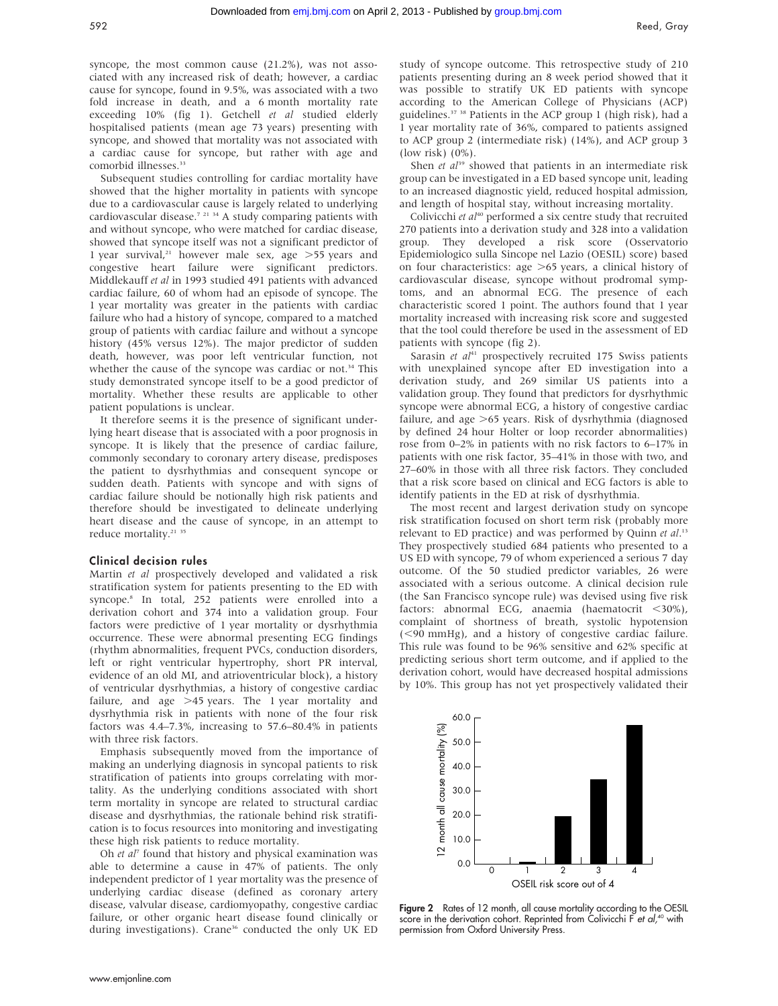syncope, the most common cause (21.2%), was not associated with any increased risk of death; however, a cardiac cause for syncope, found in 9.5%, was associated with a two fold increase in death, and a 6 month mortality rate exceeding 10% (fig 1). Getchell et al studied elderly hospitalised patients (mean age 73 years) presenting with syncope, and showed that mortality was not associated with a cardiac cause for syncope, but rather with age and comorbid illnesses.<sup>33</sup>

Subsequent studies controlling for cardiac mortality have showed that the higher mortality in patients with syncope due to a cardiovascular cause is largely related to underlying cardiovascular disease.<sup>7</sup><sup>21</sup><sup>34</sup> A study comparing patients with and without syncope, who were matched for cardiac disease, showed that syncope itself was not a significant predictor of 1 year survival,<sup>21</sup> however male sex, age  $>$  55 years and congestive heart failure were significant predictors. Middlekauff et al in 1993 studied 491 patients with advanced cardiac failure, 60 of whom had an episode of syncope. The 1 year mortality was greater in the patients with cardiac failure who had a history of syncope, compared to a matched group of patients with cardiac failure and without a syncope history (45% versus 12%). The major predictor of sudden death, however, was poor left ventricular function, not whether the cause of the syncope was cardiac or not.<sup>34</sup> This study demonstrated syncope itself to be a good predictor of mortality. Whether these results are applicable to other patient populations is unclear.

It therefore seems it is the presence of significant underlying heart disease that is associated with a poor prognosis in syncope. It is likely that the presence of cardiac failure, commonly secondary to coronary artery disease, predisposes the patient to dysrhythmias and consequent syncope or sudden death. Patients with syncope and with signs of cardiac failure should be notionally high risk patients and therefore should be investigated to delineate underlying heart disease and the cause of syncope, in an attempt to reduce mortality.<sup>21</sup> <sup>35</sup>

#### Clinical decision rules

Martin et al prospectively developed and validated a risk stratification system for patients presenting to the ED with syncope.8 In total, 252 patients were enrolled into a derivation cohort and 374 into a validation group. Four factors were predictive of 1 year mortality or dysrhythmia occurrence. These were abnormal presenting ECG findings (rhythm abnormalities, frequent PVCs, conduction disorders, left or right ventricular hypertrophy, short PR interval, evidence of an old MI, and atrioventricular block), a history of ventricular dysrhythmias, a history of congestive cardiac failure, and age  $>45$  years. The 1 year mortality and dysrhythmia risk in patients with none of the four risk factors was 4.4–7.3%, increasing to 57.6–80.4% in patients with three risk factors.

Emphasis subsequently moved from the importance of making an underlying diagnosis in syncopal patients to risk stratification of patients into groups correlating with mortality. As the underlying conditions associated with short term mortality in syncope are related to structural cardiac disease and dysrhythmias, the rationale behind risk stratification is to focus resources into monitoring and investigating these high risk patients to reduce mortality.

Oh et  $a^{\dagger}$  found that history and physical examination was able to determine a cause in 47% of patients. The only independent predictor of 1 year mortality was the presence of underlying cardiac disease (defined as coronary artery disease, valvular disease, cardiomyopathy, congestive cardiac failure, or other organic heart disease found clinically or during investigations). Crane<sup>36</sup> conducted the only UK ED

study of syncope outcome. This retrospective study of 210 patients presenting during an 8 week period showed that it was possible to stratify UK ED patients with syncope according to the American College of Physicians (ACP) guidelines.37 38 Patients in the ACP group 1 (high risk), had a 1 year mortality rate of 36%, compared to patients assigned to ACP group 2 (intermediate risk) (14%), and ACP group 3 (low risk) (0%).

Shen et  $al^{39}$  showed that patients in an intermediate risk group can be investigated in a ED based syncope unit, leading to an increased diagnostic yield, reduced hospital admission, and length of hospital stay, without increasing mortality.

Colivicchi et  $aI^{40}$  performed a six centre study that recruited 270 patients into a derivation study and 328 into a validation group. They developed a risk score (Osservatorio Epidemiologico sulla Sincope nel Lazio (OESIL) score) based on four characteristics: age  $>65$  years, a clinical history of cardiovascular disease, syncope without prodromal symptoms, and an abnormal ECG. The presence of each characteristic scored 1 point. The authors found that 1 year mortality increased with increasing risk score and suggested that the tool could therefore be used in the assessment of ED patients with syncope (fig 2).

Sarasin et  $al^{41}$  prospectively recruited 175 Swiss patients with unexplained syncope after ED investigation into a derivation study, and 269 similar US patients into a validation group. They found that predictors for dysrhythmic syncope were abnormal ECG, a history of congestive cardiac failure, and age  $>65$  years. Risk of dysrhythmia (diagnosed by defined 24 hour Holter or loop recorder abnormalities) rose from 0–2% in patients with no risk factors to 6–17% in patients with one risk factor, 35–41% in those with two, and 27–60% in those with all three risk factors. They concluded that a risk score based on clinical and ECG factors is able to identify patients in the ED at risk of dysrhythmia.

The most recent and largest derivation study on syncope risk stratification focused on short term risk (probably more relevant to ED practice) and was performed by Quinn et al.<sup>13</sup> They prospectively studied 684 patients who presented to a US ED with syncope, 79 of whom experienced a serious 7 day outcome. Of the 50 studied predictor variables, 26 were associated with a serious outcome. A clinical decision rule (the San Francisco syncope rule) was devised using five risk factors: abnormal ECG, anaemia (haematocrit  $\langle 30\% \rangle$ , complaint of shortness of breath, systolic hypotension  $(<,90 \text{ mmHg})$ , and a history of congestive cardiac failure. This rule was found to be 96% sensitive and 62% specific at predicting serious short term outcome, and if applied to the derivation cohort, would have decreased hospital admissions by 10%. This group has not yet prospectively validated their



Figure 2 Rates of 12 month, all cause mortality according to the OESIL score in the derivation cohort. Reprinted from Colivicchi F et  $al$ ,<sup>40</sup> with permission from Oxford University Press.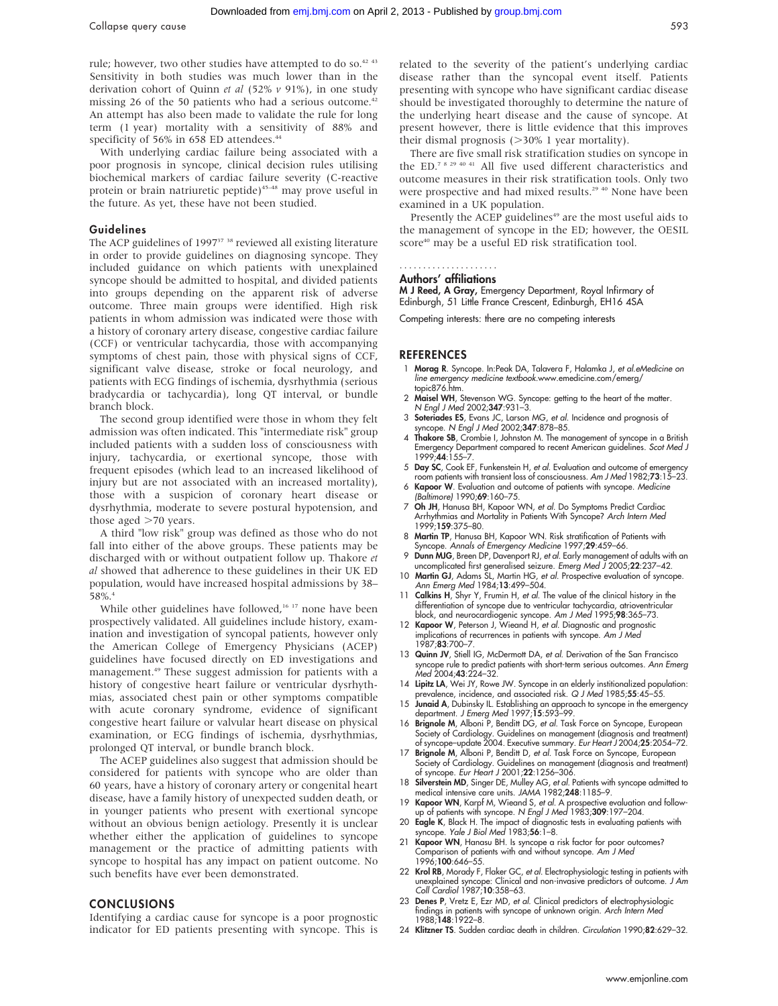Collapse query cause 593

rule; however, two other studies have attempted to do so.<sup>42 43</sup> Sensitivity in both studies was much lower than in the derivation cohort of Quinn et al (52% v 91%), in one study missing 26 of the 50 patients who had a serious outcome.<sup>42</sup> An attempt has also been made to validate the rule for long term (1 year) mortality with a sensitivity of 88% and specificity of 56% in 658 ED attendees.<sup>44</sup>

With underlying cardiac failure being associated with a poor prognosis in syncope, clinical decision rules utilising biochemical markers of cardiac failure severity (C-reactive protein or brain natriuretic peptide)<sup>45-48</sup> may prove useful in the future. As yet, these have not been studied.

#### Guidelines

The ACP guidelines of 1997<sup>37</sup> <sup>38</sup> reviewed all existing literature in order to provide guidelines on diagnosing syncope. They included guidance on which patients with unexplained syncope should be admitted to hospital, and divided patients into groups depending on the apparent risk of adverse outcome. Three main groups were identified. High risk patients in whom admission was indicated were those with a history of coronary artery disease, congestive cardiac failure (CCF) or ventricular tachycardia, those with accompanying symptoms of chest pain, those with physical signs of CCF, significant valve disease, stroke or focal neurology, and patients with ECG findings of ischemia, dysrhythmia (serious bradycardia or tachycardia), long QT interval, or bundle branch block.

The second group identified were those in whom they felt admission was often indicated. This "intermediate risk" group included patients with a sudden loss of consciousness with injury, tachycardia, or exertional syncope, those with frequent episodes (which lead to an increased likelihood of injury but are not associated with an increased mortality), those with a suspicion of coronary heart disease or dysrhythmia, moderate to severe postural hypotension, and those aged  $>70$  years.

A third "low risk" group was defined as those who do not fall into either of the above groups. These patients may be discharged with or without outpatient follow up. Thakore et al showed that adherence to these guidelines in their UK ED population, would have increased hospital admissions by 38– 58%.4

While other guidelines have followed,<sup>16 17</sup> none have been prospectively validated. All guidelines include history, examination and investigation of syncopal patients, however only the American College of Emergency Physicians (ACEP) guidelines have focused directly on ED investigations and management.49 These suggest admission for patients with a history of congestive heart failure or ventricular dysrhythmias, associated chest pain or other symptoms compatible with acute coronary syndrome, evidence of significant congestive heart failure or valvular heart disease on physical examination, or ECG findings of ischemia, dysrhythmias, prolonged QT interval, or bundle branch block.

The ACEP guidelines also suggest that admission should be considered for patients with syncope who are older than 60 years, have a history of coronary artery or congenital heart disease, have a family history of unexpected sudden death, or in younger patients who present with exertional syncope without an obvious benign aetiology. Presently it is unclear whether either the application of guidelines to syncope management or the practice of admitting patients with syncope to hospital has any impact on patient outcome. No such benefits have ever been demonstrated.

### CONCLUSIONS

Identifying a cardiac cause for syncope is a poor prognostic indicator for ED patients presenting with syncope. This is

related to the severity of the patient's underlying cardiac disease rather than the syncopal event itself. Patients presenting with syncope who have significant cardiac disease should be investigated thoroughly to determine the nature of the underlying heart disease and the cause of syncope. At present however, there is little evidence that this improves their dismal prognosis  $($ >30% 1 year mortality).

There are five small risk stratification studies on syncope in the ED.7 8 29 40 41 All five used different characteristics and outcome measures in their risk stratification tools. Only two were prospective and had mixed results.<sup>29 40</sup> None have been examined in a UK population.

Presently the ACEP guidelines<sup>49</sup> are the most useful aids to the management of syncope in the ED; however, the OESIL score<sup>40</sup> may be a useful ED risk stratification tool.

#### Authors' affiliations .....................

M J Reed, A Gray, Emergency Department, Royal Infirmary of Edinburgh, 51 Little France Crescent, Edinburgh, EH16 4SA

Competing interests: there are no competing interests

#### **REFERENCES**

- 1 Morag R. Syncope. In:Peak DA, Talavera F, Halamka J, et al.eMedicine on line emergency medicine textbook.www.emedicine.com/emerg/ topic876.htm.
- 2 Maisel WH, Stevenson WG. Syncope: getting to the heart of the matter. N Engl J Med 2002;347:931–3.
- 3 Soteriades ES, Evans JC, Larson MG, et al. Incidence and prognosis of syncope. N Engl J Med 2002;347:878-85.
- 4 Thakore SB, Crombie I, Johnston M. The management of syncope in a British Emergency Department compared to recent American guidelines. *Scot Med J*<br>1999;**44**:155–7.
- 5 Day SC, Cook EF, Funkenstein H, et al. Evaluation and outcome of emergency room patients with transient loss of consciousness. Am J Med 1982;73:15–23.
- 6 Kapoor W. Evaluation and outcome of patients with syncope. Medicine (Baltimore) 1990;69:160–75.
- 7 Oh JH, Hanusa BH, Kapoor WN, et al. Do Symptoms Predict Cardiac Arrhythmias and Mortality in Patients With Syncope? Arch Intern Med 1999;159:375–80.
- 8 Martin TP, Hanusa BH, Kapoor WN. Risk stratification of Patients with Syncope. Annals of Emergency Medicine 1997;29:459-66.
- 9 Dunn MJG, Breen DP, Davenport RJ, et al. Early management of adults with an uncomplicated first generalised seizure. Emerg Med J 2005;22:237–42.
- 10 Martin GJ, Adams SL, Martin HG, et al. Prospective evaluation of syncope. Ann Emerg Med 1984;13:499–504.
- 11 Calkins H, Shyr Y, Frumin H, et al. The value of the clinical history in the differentiation of syncope due to ventricular tachycardia, atrioventricular block, and neurocardiogenic syncope. Am J Med 1995;98:365–73.
- 12 Kapoor W, Peterson J, Wieand H, et al. Diagnostic and prognostic implications of recurrences in patients with syncope. Am J Med 1987;83:700–7.
- 13 Quinn JV, Stiell IG, McDermott DA, et al. Derivation of the San Francisco syncope rule to predict patients with short-term serious outcomes. Ann Emerg Med 2004:43:224-32.
- 14 Lipitz LA, Wei JY, Rowe JW. Syncope in an elderly institionalized population:
- prevalence, incidence, and associated risk. Q J Med 1985;55:45–55.<br>15 Junaid A, Dubinsky IL. Establishing an approach to syncope in the emergency department. J Emerg Med 1997;15:593-99.
- 16 Brignole M, Alboni P, Benditt DG, et al. Task Force on Syncope, European Society of Cardiology. Guidelines on management (diagnosis and treatment) of syncope–update 2004. Executive summary. Eur Heart J 2004;25:2054–72.
- 17 Brignole M, Alboni P, Benditt D, et al. Task Force on Syncope, European Society of Cardiology. Guidelines on management (diagnosis and treatment) of syncope. Eur Heart J 2001;22:1256–306.
- 18 Silverstein MD, Singer DE, Mulley AG, et al. Patients with syncope admitted to medical intensive care units. JAMA 1982;248:1185-9.
- 19 **Kapoor WN**, Karpt M, Wieand S, *et al.* A prospective evaluation and follow-<br>up of patients with syncope. N Engl J Med 1983;**309**:197–204.<br>20 **Eagle K**, Black H. The impact of diagnostic tests in evaluating patients wi
- syncope. Yale J Biol Med 1983;56:1-8.
- 21 Kapoor WN, Hanasu BH. Is syncope a risk factor for poor outcomes? Comparison of patients with and without syncope. Am J Med 1996;100:646–55.
- 22 Krol RB, Morady F, Flaker GC, et al. Electrophysiologic testing in patients with unexplained syncope: Clinical and non-invasive predictors of outcome. *J Am*<br>*Coll Cardiol* 1987;**10**:358–63.
- 23 Denes P, Vretz E, Ezr MD, et al. Clinical predictors of electrophysiologic findings in patients with syncope of unknown origin. Arch Intern Med 1988;148:1922–8.
- 24 Klitzner TS. Sudden cardiac death in children. Circulation 1990;82:629–32.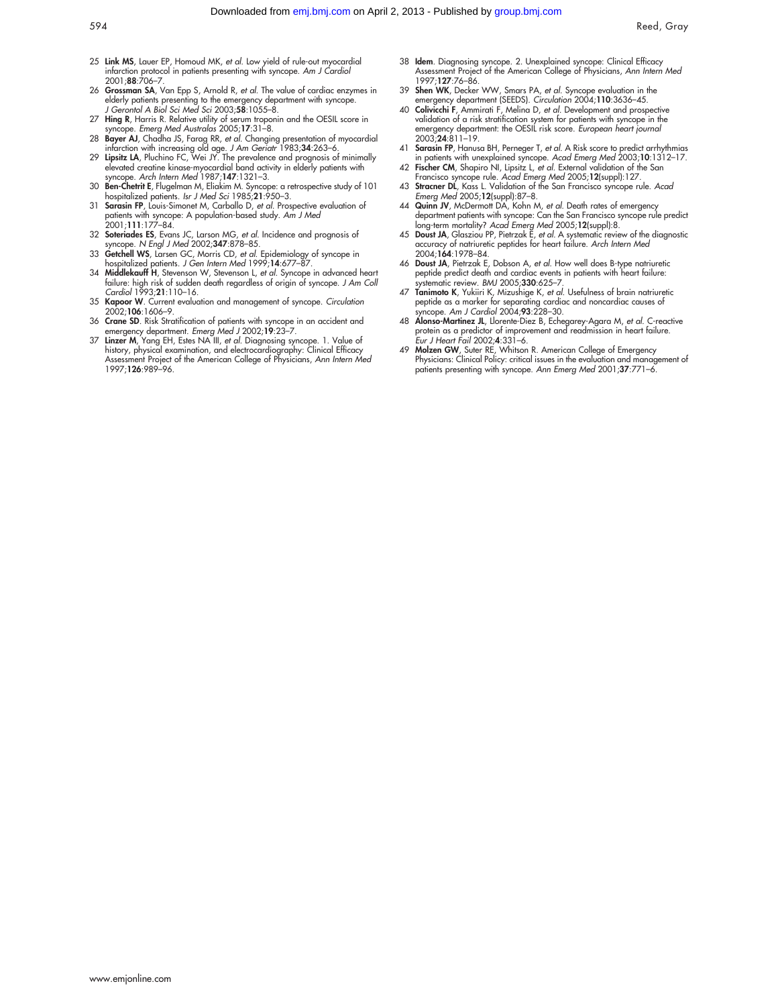- 25 Link MS, Lauer EP, Homoud MK, et al. Low yield of rule-out myocardial infarction protocol in patients presenting with syncope. Am J Cardiol 2001;88:706–7.
- 26 Grossman SA, Van Epp S, Arnold R, et al. The value of cardiac enzymes in elderly patients presenting to the emergency department with syncope.<br>J Gerontol A Biol Sci Med Sci 2003;**58**:1055–8.
- 27 Hing R, Harris R. Relative utility of serum troponin and the OESIL score in
- syncope. *Emerg Med Australas* 2005;17:31-8.<br>28 **Bayer AJ**, Chadha JS, Farag RR, *et al.* Changing presentation of myocardial<br>infarction with increasing old age. J Am Geriar 1983;34:263-6.<br>29 Lipsitz LA, Pluchino FC, Wei J
- syncope. Arch Intern Med 1987;147:1321–3.
- 30 Ben-Chetrit E, Flugelman M, Eliakim M. Syncope: a retrospective study of 101 hospitalized patients. *Isr J Med Sci* 1985;**21**:950–3.<br>31 **Sarasin FP**, Louis-Simonet M, Carballo D, *et al.* Prospective evaluation of
- patients with syncope: A population-based study. Am J Med 2001;111:177–84.
- 32 Soteriades ES, Evans JC, Larson MG, et al. Incidence and prognosis of syncope. N Engl J Med 2002;347:878-85.
- 33 Getchell WS, Larsen GC, Morris CD, et al. Epidemiology of syncope in hospitalized patients. J Gen Intern Med 1999;14:677-87
- 34 Middlekauff H, Stevenson W, Stevenson L, et al. Syncope in advanced heart failure: high risk of sudden death regardless of origin of syncope. J Am Coll Cardiol 1993;21:110–16.
- 35 Kapoor W. Current evaluation and management of syncope. Circulation 2002;106:1606–9.
- 36 Crane SD. Risk Stratification of patients with syncope in an accident and emergency department. Emerg Med J 2002;19:23–7.
- 37 Linzer M, Yang EH, Estes NA III, et al. Diagnosing syncope. 1. Value of history, physical examination, and electrocardiography: Clinical Efficacy Assessment Project of the American College of Physicians, Ann Intern Med 1997;126:989–96.
- 38 Idem. Diagnosing syncope. 2. Unexplained syncope: Clinical Efficacy Assessment Project of the American College of Physicians, Ann Intern Med 1997;**127**:76–86.
- 39 Shen WK, Decker WW, Smars PA, et al. Syncope evaluation in the emergency department (SEEDS). Circulation 2004;110:3636–45.
- 40 Colivicchi F, Ammirati F, Melina D, et al. Development and prospective validation of a risk stratification system for patients with syncope in the emergency department: the OESIL risk score. *European heart journal*<br>2003;**24**:811–19.
- 41 **Sarasin FP**, Hanusa BH, Perneger T, *et al.* A Risk score to predict arrhythmias<br>in patients with unexplained syncope. Acad Emerg Med 2003;10:1312–17.<br>42 **Fischer CM**, Shapiro NI, Lipsitz L, *et al.* External validatio
- Francisco syncope rule. Acad Emerg Med 2005;12(suppl):127. 43 Stracner DL, Kass L. Validation of the San Francisco syncope rule. Acad
- 
- Emerg Med 2005;12(suppl):87–8.<br>44 Quinn JV, McDermott DA, Kohn M, *et al.* Death rates of emergency<br>department patients with syncope: Can the San Francisco syncope rule predict long-term mortality? Acad Emerg Med 2005;12(suppl):8. 45 Doust JA, Glasziou PP, Pietrzak E, et al. A systematic review of the diagnostic
- accuracy of natriuretic peptides for heart failure. Arch Intern Med 2004;164:1978–84.
- 46 Doust JA, Pietrzak E, Dobson A, et al. How well does B-type natriuretic peptide predict death and cardiac events in patients with heart failure: vstematic review. BMJ 2005:330:625-7
- 47 Tanimoto K, Yukiiri K, Mizushige K, et al. Usefulness of brain natriuretic peptide as a marker for separating cardiac and noncardiac causes of syncope. Am J Cardiol 2004;93:228-30.
- 48 Alonso-Martinez JL, Llorente-Diez B, Echegarey-Agara M, et al. C-reactive protein as a predictor of improvement and readmission in heart failure. Eur J Heart Fail 2002;4:331–6.
- 49 Molzen GW, Suter RE, Whitson R. American College of Emergency Physicians: Clinical Policy: critical issues in the evaluation and management of patients presenting with syncope. Ann Emerg Med 2001;37:771-6.